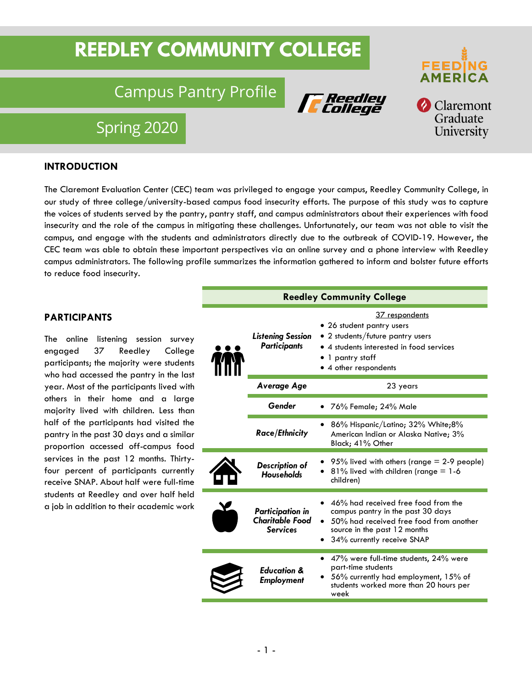# **REEDLEY COMMUNITY COLLEGE**

## Campus Pantry Profile





Spring 2020

#### **INTRODUCTION**

The Claremont Evaluation Center (CEC) team was privileged to engage your campus, Reedley Community College, in our study of three college/university-based campus food insecurity efforts. The purpose of this study was to capture the voices of students served by the pantry, pantry staff, and campus administrators about their experiences with food insecurity and the role of the campus in mitigating these challenges. Unfortunately, our team was not able to visit the campus, and engage with the students and administrators directly due to the outbreak of COVID-19. However, the CEC team was able to obtain these important perspectives via an online survey and a phone interview with Reedley campus administrators. The following profile summarizes the information gathered to inform and bolster future efforts to reduce food insecurity.

#### **PARTICIPANTS**

The online listening session survey engaged 37 Reedley College participants; the majority were students who had accessed the pantry in the last year. Most of the participants lived with others in their home and a large majority lived with children. Less than half of the participants had visited the pantry in the past 30 days and a similar proportion accessed off-campus food services in the past 12 months. Thirtyfour percent of participants currently receive SNAP. About half were full-time students at Reedley and over half held a job in addition to their academic work

| <b>Reedley Community College</b> |                                                                      |                                                                                                                                                                                   |
|----------------------------------|----------------------------------------------------------------------|-----------------------------------------------------------------------------------------------------------------------------------------------------------------------------------|
|                                  | <b>Listening Session</b><br><b>Participants</b>                      | 37 respondents<br>• 26 student pantry users<br>2 students/future pantry users<br>• 4 students interested in food services<br>1 pantry staff<br>• 4 other respondents              |
|                                  | Average Age                                                          | 23 years                                                                                                                                                                          |
|                                  | Gender                                                               | 76% Female; 24% Male                                                                                                                                                              |
|                                  | <b>Race/Ethnicity</b>                                                | 86% Hispanic/Latino; 32% White;8%<br>American Indian or Alaska Native; 3%<br>Black: 41% Other                                                                                     |
|                                  | <b>Description of</b><br><b>Households</b>                           | 95% lived with others (range $=$ 2-9 people)<br>$81\%$ lived with children (range $= 1-6$<br>children)                                                                            |
|                                  | <b>Participation in</b><br><b>Charitable Food</b><br><b>Services</b> | 46% had received free food from the<br>campus pantry in the past 30 days<br>50% had received free food from another<br>source in the past 12 months<br>34% currently receive SNAP |
|                                  | <b>Education &amp;</b><br><b>Employment</b>                          | 47% were full-time students, 24% were<br>part-time students<br>56% currently had employment, 15% of<br>students worked more than 20 hours per<br>week                             |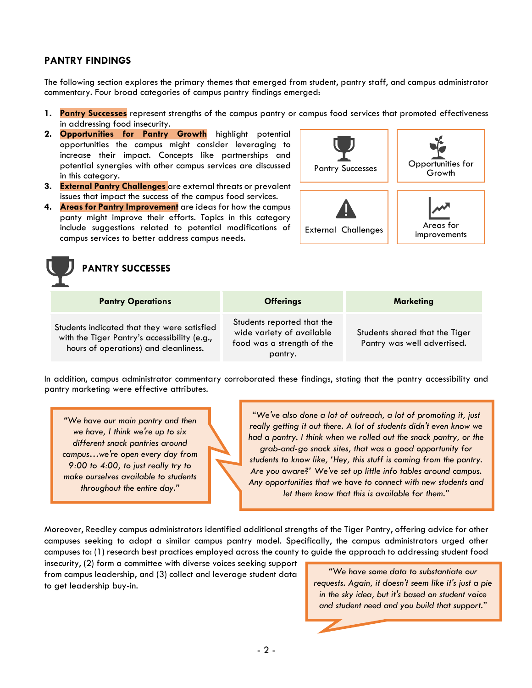#### **PANTRY FINDINGS**

The following section explores the primary themes that emerged from student, pantry staff, and campus administrator commentary. Four broad categories of campus pantry findings emerged:

- **1. Pantry Successes** represent strengths of the campus pantry or campus food services that promoted effectiveness in addressing food insecurity.
- **2. Opportunities for Pantry Growth** highlight potential opportunities the campus might consider leveraging to increase their impact. Concepts like partnerships and potential synergies with other campus services are discussed in this category.
- **3. External Pantry Challenges** are external threats or prevalent issues that impact the success of the campus food services.
- **4. Areas for Pantry Improvement** are ideas for how the campus panty might improve their efforts. Topics in this category include suggestions related to potential modifications of campus services to better address campus needs.





| <b>Pantry Operations</b>                                                                                                             | <b>Offerings</b>                                                                                 | Marketing                                                     |
|--------------------------------------------------------------------------------------------------------------------------------------|--------------------------------------------------------------------------------------------------|---------------------------------------------------------------|
| Students indicated that they were satisfied<br>with the Tiger Pantry's accessibility (e.g.,<br>hours of operations) and cleanliness. | Students reported that the<br>wide variety of available<br>food was a strength of the<br>pantry. | Students shared that the Tiger<br>Pantry was well advertised. |

In addition, campus administrator commentary corroborated these findings, stating that the pantry accessibility and pantry marketing were effective attributes.

*"We have our main pantry and then we have, I think we're up to six different snack pantries around campus…we're open every day from 9:00 to 4:00, to just really try to make ourselves available to students throughout the entire day."*

*"We've also done a lot of outreach, a lot of promoting it, just really getting it out there. A lot of students didn't even know we had a pantry. I think when we rolled out the snack pantry, or the grab-and-go snack sites, that was a good opportunity for students to know like, 'Hey, this stuff is coming from the pantry. Are you aware?' We've set up little info tables around campus. Any opportunities that we have to connect with new students and let them know that this is available for them."*

Moreover, Reedley campus administrators identified additional strengths of the Tiger Pantry, offering advice for other campuses seeking to adopt a similar campus pantry model. Specifically, the campus administrators urged other campuses to: (1) research best practices employed across the county to guide the approach to addressing student food

insecurity, (2) form a committee with diverse voices seeking support from campus leadership, and (3) collect and leverage student data to get leadership buy-in.

*"We have some data to substantiate our requests. Again, it doesn't seem like it's just a pie in the sky idea, but it's based on student voice and student need and you build that support."*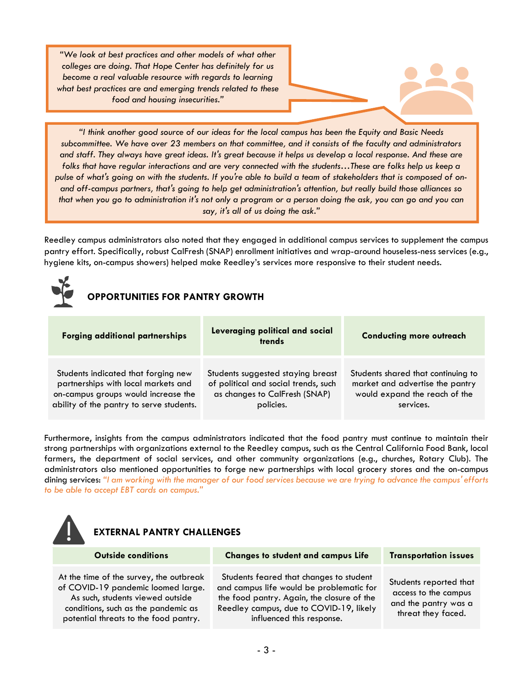*"We look at best practices and other models of what other colleges are doing. That Hope Center has definitely for us become a real valuable resource with regards to learning what best practices are and emerging trends related to these food and housing insecurities."*

*"I think another good source of our ideas for the local campus has been the Equity and Basic Needs subcommittee. We have over 23 members on that committee, and it consists of the faculty and administrators and staff. They always have great ideas. It's great because it helps us develop a local response. And these are folks that have regular interactions and are very connected with the students…These are folks help us keep a pulse of what's going on with the students. If you're able to build a team of stakeholders that is composed of onand off-campus partners, that's going to help get administration's attention, but really build those alliances so that when you go to administration it's not only a program or a person doing the ask, you can go and you can say, it's all of us doing the ask."*

Reedley campus administrators also noted that they engaged in additional campus services to supplement the campus pantry effort. Specifically, robust CalFresh (SNAP) enrollment initiatives and wrap-around houseless-ness services (e.g., hygiene kits, on-campus showers) helped make Reedley's services more responsive to their student needs.



## **OPPORTUNITIES FOR PANTRY GROWTH**

| <b>Forging additional partnerships</b>   | Leveraging political and social<br>trends | <b>Conducting more outreach</b>    |
|------------------------------------------|-------------------------------------------|------------------------------------|
| Students indicated that forging new      | Students suggested staying breast         | Students shared that continuing to |
| partnerships with local markets and      | of political and social trends, such      | market and advertise the pantry    |
| on-campus groups would increase the      | as changes to CalFresh (SNAP)             | would expand the reach of the      |
| ability of the pantry to serve students. | policies.                                 | services.                          |

Furthermore, insights from the campus administrators indicated that the food pantry must continue to maintain their strong partnerships with organizations external to the Reedley campus, such as the Central California Food Bank, local farmers, the department of social services, and other community organizations (e.g., churches, Rotary Club). The administrators also mentioned opportunities to forge new partnerships with local grocery stores and the on-campus dining services: *"I am working with the manager of our food services because we are trying to advance the campus' efforts to be able to accept EBT cards on campus."*



#### **EXTERNAL PANTRY CHALLENGES**

| <b>Outside conditions</b>                                                                                                                                                                         | <b>Changes to student and campus Life</b>                                                                                                                                                                 | <b>Transportation issues</b>                                                                 |
|---------------------------------------------------------------------------------------------------------------------------------------------------------------------------------------------------|-----------------------------------------------------------------------------------------------------------------------------------------------------------------------------------------------------------|----------------------------------------------------------------------------------------------|
| At the time of the survey, the outbreak<br>of COVID-19 pandemic loomed large.<br>As such, students viewed outside<br>conditions, such as the pandemic as<br>potential threats to the food pantry. | Students feared that changes to student<br>and campus life would be problematic for<br>the food pantry. Again, the closure of the<br>Reedley campus, due to COVID-19, likely<br>influenced this response. | Students reported that<br>access to the campus<br>and the pantry was a<br>threat they faced. |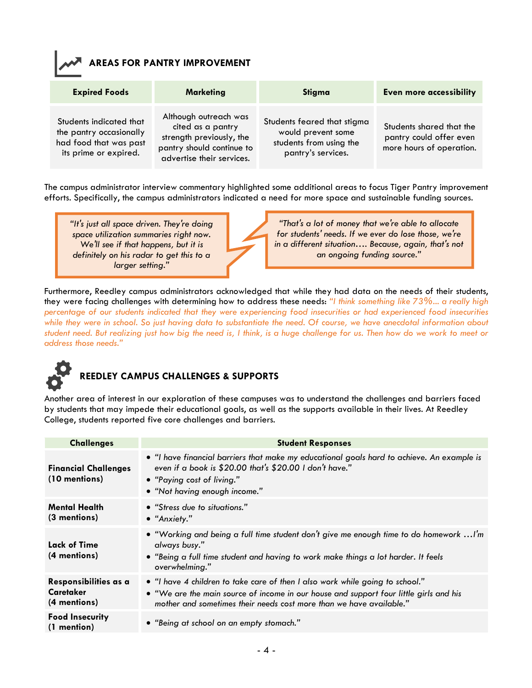#### **AREAS FOR PANTRY IMPROVEMENT**

| <b>Expired Foods</b>                                                                                  | <b>Marketing</b>                                                                                                                 | Stigma                                                                                             | <b>Even more accessibility</b>                                                  |
|-------------------------------------------------------------------------------------------------------|----------------------------------------------------------------------------------------------------------------------------------|----------------------------------------------------------------------------------------------------|---------------------------------------------------------------------------------|
| Students indicated that<br>the pantry occasionally<br>had food that was past<br>its prime or expired. | Although outreach was<br>cited as a pantry<br>strength previously, the<br>pantry should continue to<br>advertise their services. | Students feared that stigma<br>would prevent some<br>students from using the<br>pantry's services. | Students shared that the<br>pantry could offer even<br>more hours of operation. |

The campus administrator interview commentary highlighted some additional areas to focus Tiger Pantry improvement efforts. Specifically, the campus administrators indicated a need for more space and sustainable funding sources.

*"It's just all space driven. They're doing space utilization summaries right now. We'll see if that happens, but it is definitely on his radar to get this to a larger setting."*

*"That's a lot of money that we're able to allocate for students' needs. If we ever do lose those, we're in a different situation…. Because, again, that's not an ongoing funding source."*

Furthermore, Reedley campus administrators acknowledged that while they had data on the needs of their students, they were facing challenges with determining how to address these needs: *"I think something like 73%... a really high percentage of our students indicated that they were experiencing food insecurities or had experienced food insecurities while they were in school. So just having data to substantiate the need. Of course, we have anecdotal information about student need. But realizing just how big the need is, I think, is a huge challenge for us. Then how do we work to meet or address those needs."*



## **REEDLEY CAMPUS CHALLENGES & SUPPORTS**

Another area of interest in our exploration of these campuses was to understand the challenges and barriers faced by students that may impede their educational goals, as well as the supports available in their lives. At Reedley College, students reported five core challenges and barriers.

| <b>Challenges</b>                                         | <b>Student Responses</b>                                                                                                                                                                                                                       |
|-----------------------------------------------------------|------------------------------------------------------------------------------------------------------------------------------------------------------------------------------------------------------------------------------------------------|
| <b>Financial Challenges</b><br>(10 mentions)              | • "I have financial barriers that make my educational goals hard to achieve. An example is<br>even if a book is \$20.00 that's \$20.00 I don't have."<br>• "Paying cost of living."<br>• "Not having enough income."                           |
| <b>Mental Health</b><br>(3 mentions)                      | • "Stress due to situations."<br>$\bullet$ "Anxiety."                                                                                                                                                                                          |
| Lack of Time<br>(4 mentions)                              | • "Working and being a full time student don't give me enough time to do homework  I'm<br>always busy."<br>. "Being a full time student and having to work make things a lot harder. It feels<br>overwhelming."                                |
| Responsibilities as a<br><b>Caretaker</b><br>(4 mentions) | • "I have 4 children to take care of then I also work while going to school."<br>• "We are the main source of income in our house and support four little girls and his<br>mother and sometimes their needs cost more than we have available." |
| <b>Food Insecurity</b><br>$(1$ mention)                   | • "Being at school on an empty stomach."                                                                                                                                                                                                       |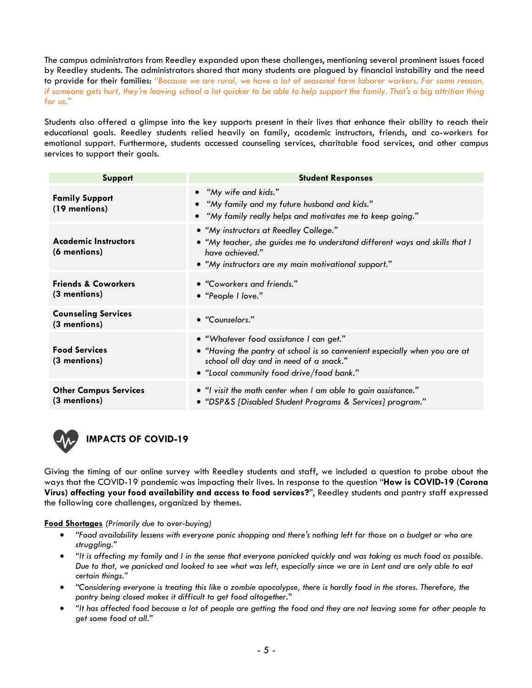The campus administrators from Reedley expanded upon these challenges, mentioning several prominent issues faced by Reedley students. The administrators shared that many students are plagued by financial instability and the need to provide for their families: *"Because we are rural, we have a lot of seasonal farm laborer workers. For some reason, if someone gets hurt, they're leaving school a lot quicker to be able to help support the family. That's a big attrition thing for us."*

Students also offered a glimpse into the key supports present in their lives that enhance their ability to reach their educational goals. Reedley students relied heavily on family, academic instructors, friends, and co-workers for emotional support. Furthermore, students accessed counseling services, charitable food services, and other campus services to support their goals.

| Support                                        | <b>Student Responses</b>                                                                                                                                                                                      |
|------------------------------------------------|---------------------------------------------------------------------------------------------------------------------------------------------------------------------------------------------------------------|
| <b>Family Support</b><br>(19 mentions)         | • "My wife and kids."<br>• "My family and my future husband and kids."<br>• "My family really helps and motivates me to keep going."                                                                          |
| <b>Academic Instructors</b><br>(6 mentions)    | • "My instructors at Reedley College."<br>• "My teacher, she guides me to understand different ways and skills that I<br>have achieved."<br>• "My instructors are my main motivational support."              |
| <b>Friends &amp; Coworkers</b><br>(3 mentions) | • "Coworkers and friends."<br>• "People I love."                                                                                                                                                              |
| <b>Counseling Services</b><br>(3 mentions)     | • "Counselors."                                                                                                                                                                                               |
| <b>Food Services</b><br>(3 mentions)           | • "Whatever food assistance I can get."<br>• "Having the pantry at school is so convenient especially when you are at<br>school all day and in need of a snack."<br>• "Local community food drive/food bank." |
| <b>Other Campus Services</b><br>(3 mentions)   | • "I visit the math center when I am able to gain assistance."<br>• "DSP&S [Disabled Student Programs & Services] program."                                                                                   |



### **IMPACTS OF COVID-19**

Giving the timing of our online survey with Reedley students and staff, we included a question to probe about the ways that the COVID-19 pandemic was impacting their lives. In response to the question "**How is COVID-19 (Corona Virus) affecting your food availability and access to food services?**", Reedley students and pantry staff expressed the following core challenges, organized by themes.

**Food Shortages** *(Primarily due to over-buying)*

- *"Food availability lessens with everyone panic shopping and there's nothing left for those on a budget or who are struggling."*
- *"It is affecting my family and I in the sense that everyone panicked quickly and was taking as much food as possible. Due to that, we panicked and looked to see what was left, especially since we are in Lent and are only able to eat certain things."*
- *"Considering everyone is treating this like a zombie apocalypse, there is hardly food in the stores. Therefore, the pantry being closed makes it difficult to get food altogether."*
- *"It has affected food because a lot of people are getting the food and they are not leaving some for other people to get some food at all."*